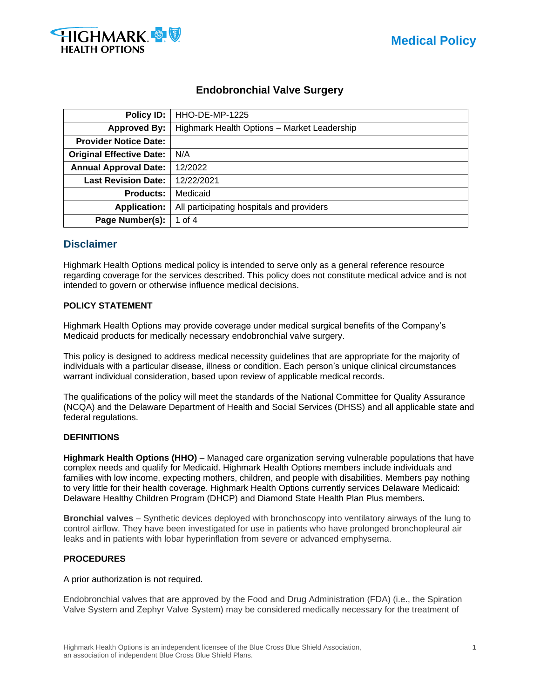



# **Endobronchial Valve Surgery**

| Policy ID:                      | HHO-DE-MP-1225                              |  |
|---------------------------------|---------------------------------------------|--|
| <b>Approved By:</b>             | Highmark Health Options - Market Leadership |  |
| <b>Provider Notice Date:</b>    |                                             |  |
| <b>Original Effective Date:</b> | N/A                                         |  |
| <b>Annual Approval Date:</b>    | 12/2022                                     |  |
| <b>Last Revision Date:</b>      | 12/22/2021                                  |  |
| <b>Products:</b>                | Medicaid                                    |  |
| <b>Application:</b>             | All participating hospitals and providers   |  |
| Page Number(s):                 | 1 of 4                                      |  |

# **Disclaimer**

Highmark Health Options medical policy is intended to serve only as a general reference resource regarding coverage for the services described. This policy does not constitute medical advice and is not intended to govern or otherwise influence medical decisions.

### **POLICY STATEMENT**

Highmark Health Options may provide coverage under medical surgical benefits of the Company's Medicaid products for medically necessary endobronchial valve surgery.

This policy is designed to address medical necessity guidelines that are appropriate for the majority of individuals with a particular disease, illness or condition. Each person's unique clinical circumstances warrant individual consideration, based upon review of applicable medical records.

The qualifications of the policy will meet the standards of the National Committee for Quality Assurance (NCQA) and the Delaware Department of Health and Social Services (DHSS) and all applicable state and federal regulations.

### **DEFINITIONS**

**Highmark Health Options (HHO)** – Managed care organization serving vulnerable populations that have complex needs and qualify for Medicaid. Highmark Health Options members include individuals and families with low income, expecting mothers, children, and people with disabilities. Members pay nothing to very little for their health coverage. Highmark Health Options currently services Delaware Medicaid: Delaware Healthy Children Program (DHCP) and Diamond State Health Plan Plus members.

**Bronchial valves** – Synthetic devices deployed with bronchoscopy into ventilatory airways of the lung to control airflow. They have been investigated for use in patients who have prolonged bronchopleural air leaks and in patients with lobar hyperinflation from severe or advanced emphysema.

### **PROCEDURES**

A prior authorization is not required.

Endobronchial valves that are approved by the Food and Drug Administration (FDA) (i.e., the Spiration Valve System and Zephyr Valve System) may be considered medically necessary for the treatment of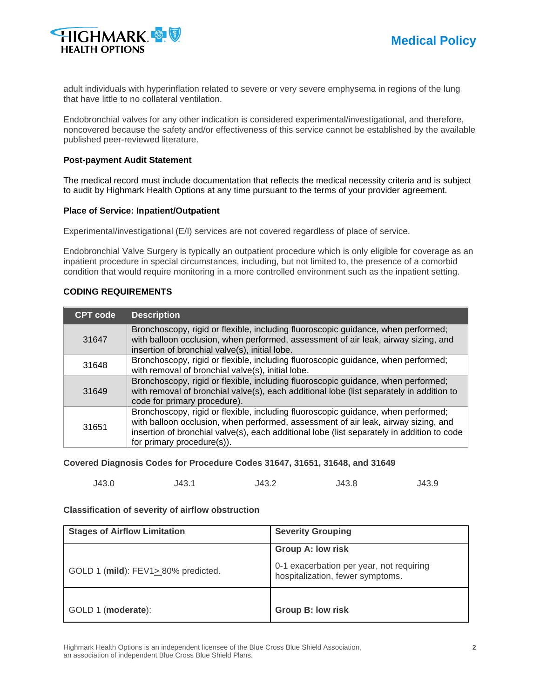

adult individuals with hyperinflation related to severe or very severe emphysema in regions of the lung that have little to no collateral ventilation.

Endobronchial valves for any other indication is considered experimental/investigational, and therefore, noncovered because the safety and/or effectiveness of this service cannot be established by the available published peer-reviewed literature.

### **Post-payment Audit Statement**

The medical record must include documentation that reflects the medical necessity criteria and is subject to audit by Highmark Health Options at any time pursuant to the terms of your provider agreement.

### **Place of Service: Inpatient/Outpatient**

Experimental/investigational (E/I) services are not covered regardless of place of service.

Endobronchial Valve Surgery is typically an outpatient procedure which is only eligible for coverage as an inpatient procedure in special circumstances, including, but not limited to, the presence of a comorbid condition that would require monitoring in a more controlled environment such as the inpatient setting.

### **CODING REQUIREMENTS**

| <b>CPT code</b> | <b>Description</b>                                                                                                                                                                                                                                                                                  |
|-----------------|-----------------------------------------------------------------------------------------------------------------------------------------------------------------------------------------------------------------------------------------------------------------------------------------------------|
| 31647           | Bronchoscopy, rigid or flexible, including fluoroscopic guidance, when performed;<br>with balloon occlusion, when performed, assessment of air leak, airway sizing, and<br>insertion of bronchial valve(s), initial lobe.                                                                           |
| 31648           | Bronchoscopy, rigid or flexible, including fluoroscopic guidance, when performed;<br>with removal of bronchial valve(s), initial lobe.                                                                                                                                                              |
| 31649           | Bronchoscopy, rigid or flexible, including fluoroscopic guidance, when performed;<br>with removal of bronchial valve(s), each additional lobe (list separately in addition to<br>code for primary procedure).                                                                                       |
| 31651           | Bronchoscopy, rigid or flexible, including fluoroscopic guidance, when performed;<br>with balloon occlusion, when performed, assessment of air leak, airway sizing, and<br>insertion of bronchial valve(s), each additional lobe (list separately in addition to code<br>for primary procedure(s)). |

#### **Covered Diagnosis Codes for Procedure Codes 31647, 31651, 31648, and 31649**

| J43.0<br>J43.2<br>J43.8<br>J43.1 | J43.9 |
|----------------------------------|-------|
|----------------------------------|-------|

#### **Classification of severity of airflow obstruction**

| <b>Stages of Airflow Limitation</b> | <b>Severity Grouping</b>                                                     |
|-------------------------------------|------------------------------------------------------------------------------|
|                                     | <b>Group A: low risk</b>                                                     |
| GOLD 1 (mild): FEV1> 80% predicted. | 0-1 exacerbation per year, not requiring<br>hospitalization, fewer symptoms. |
| GOLD 1 (moderate):                  | <b>Group B: low risk</b>                                                     |

Highmark Health Options is an independent licensee of the Blue Cross Blue Shield Association, **2** an association of independent Blue Cross Blue Shield Plans.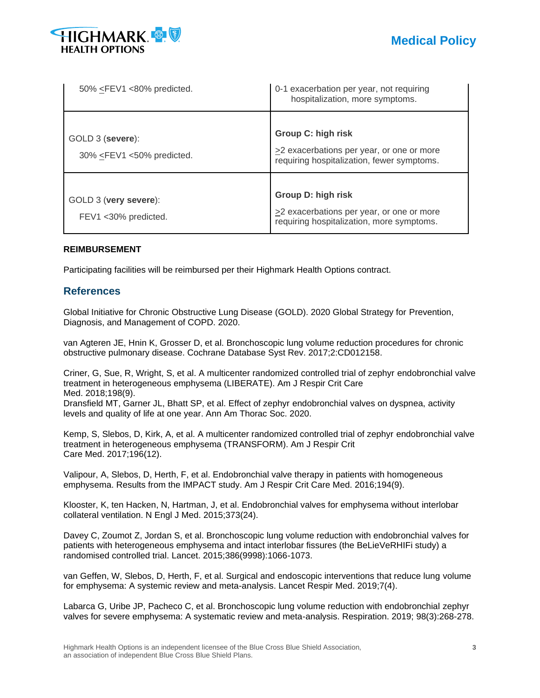

| 50% <fev1 <80%="" predicted.<="" th=""><th>0-1 exacerbation per year, not requiring<br/>hospitalization, more symptoms.</th></fev1>                                                                               | 0-1 exacerbation per year, not requiring<br>hospitalization, more symptoms.                                                |
|-------------------------------------------------------------------------------------------------------------------------------------------------------------------------------------------------------------------|----------------------------------------------------------------------------------------------------------------------------|
| GOLD 3 (severe):<br>30% <fev1 <50%="" predicted.<="" td=""><td><b>Group C: high risk</b><br/><math>\geq</math>2 exacerbations per year, or one or more<br/>requiring hospitalization, fewer symptoms.</td></fev1> | <b>Group C: high risk</b><br>$\geq$ 2 exacerbations per year, or one or more<br>requiring hospitalization, fewer symptoms. |
| GOLD 3 (very severe):<br>FEV1 < 30% predicted.                                                                                                                                                                    | <b>Group D: high risk</b><br>$\geq$ 2 exacerbations per year, or one or more<br>requiring hospitalization, more symptoms.  |

### **REIMBURSEMENT**

Participating facilities will be reimbursed per their Highmark Health Options contract.

# **References**

Global Initiative for Chronic Obstructive Lung Disease (GOLD). 2020 Global Strategy for Prevention, Diagnosis, and Management of COPD. 2020.

van Agteren JE, Hnin K, Grosser D, et al. Bronchoscopic lung volume reduction procedures for chronic obstructive pulmonary disease. Cochrane Database Syst Rev. 2017;2:CD012158.

Criner, G, Sue, R, Wright, S, et al. A multicenter randomized controlled trial of zephyr endobronchial valve treatment in heterogeneous emphysema (LIBERATE). Am J Respir Crit Care Med. 2018;198(9).

Dransfield MT, Garner JL, Bhatt SP, et al. Effect of zephyr endobronchial valves on dyspnea, activity levels and quality of life at one year. Ann Am Thorac Soc. 2020.

Kemp, S, Slebos, D, Kirk, A, et al. A multicenter randomized controlled trial of zephyr endobronchial valve treatment in heterogeneous emphysema (TRANSFORM). Am J Respir Crit Care Med. 2017;196(12).

Valipour, A, Slebos, D, Herth, F, et al. Endobronchial valve therapy in patients with homogeneous emphysema. Results from the IMPACT study. Am J Respir Crit Care Med. 2016;194(9).

Klooster, K, ten Hacken, N, Hartman, J, et al. Endobronchial valves for emphysema without interlobar collateral ventilation. N Engl J Med. 2015;373(24).

Davey C, Zoumot Z, Jordan S, et al. Bronchoscopic lung volume reduction with endobronchial valves for patients with heterogeneous emphysema and intact interlobar fissures (the BeLieVeRHIFi study) a randomised controlled trial. Lancet. 2015;386(9998):1066-1073.

van Geffen, W, Slebos, D, Herth, F, et al. Surgical and endoscopic interventions that reduce lung volume for emphysema: A systemic review and meta-analysis. Lancet Respir Med. 2019;7(4).

Labarca G, Uribe JP, Pacheco C, et al. Bronchoscopic lung volume reduction with endobronchial zephyr valves for severe emphysema: A systematic review and meta-analysis. Respiration. 2019; 98(3):268-278.